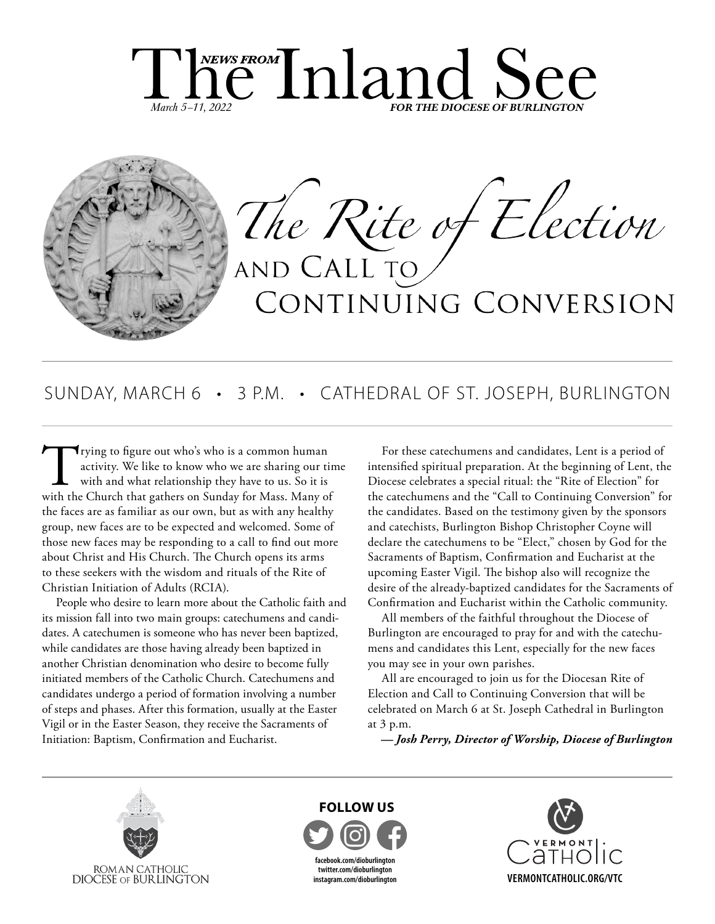



# SUNDAY, MARCH 6 • 3 P.M. • CATHEDRAL OF ST. JOSEPH, BURLINGTON

Trying to figure out who's who is a common human activity. We like to know who we are sharing our tir with and what relationship they have to us. So it is with the Church that gathers on Sunday for Mass. Many of activity. We like to know who we are sharing our time with and what relationship they have to us. So it is the faces are as familiar as our own, but as with any healthy group, new faces are to be expected and welcomed. Some of those new faces may be responding to a call to find out more about Christ and His Church. The Church opens its arms to these seekers with the wisdom and rituals of the Rite of Christian Initiation of Adults (RCIA).

People who desire to learn more about the Catholic faith and its mission fall into two main groups: catechumens and candidates. A catechumen is someone who has never been baptized, while candidates are those having already been baptized in another Christian denomination who desire to become fully initiated members of the Catholic Church. Catechumens and candidates undergo a period of formation involving a number of steps and phases. After this formation, usually at the Easter Vigil or in the Easter Season, they receive the Sacraments of Initiation: Baptism, Confirmation and Eucharist.

For these catechumens and candidates, Lent is a period of intensified spiritual preparation. At the beginning of Lent, the Diocese celebrates a special ritual: the "Rite of Election" for the catechumens and the "Call to Continuing Conversion" for the candidates. Based on the testimony given by the sponsors and catechists, Burlington Bishop Christopher Coyne will declare the catechumens to be "Elect," chosen by God for the Sacraments of Baptism, Confirmation and Eucharist at the upcoming Easter Vigil. The bishop also will recognize the desire of the already-baptized candidates for the Sacraments of Confirmation and Eucharist within the Catholic community.

All members of the faithful throughout the Diocese of Burlington are encouraged to pray for and with the catechumens and candidates this Lent, especially for the new faces you may see in your own parishes.

All are encouraged to join us for the Diocesan Rite of Election and Call to Continuing Conversion that will be celebrated on March 6 at St. Joseph Cathedral in Burlington at 3 p.m.

*— Josh Perry, Director of Worship, Diocese of Burlington*





**facebook.com/dioburlington twitter.com/dioburlington instagram.com/dioburlington**